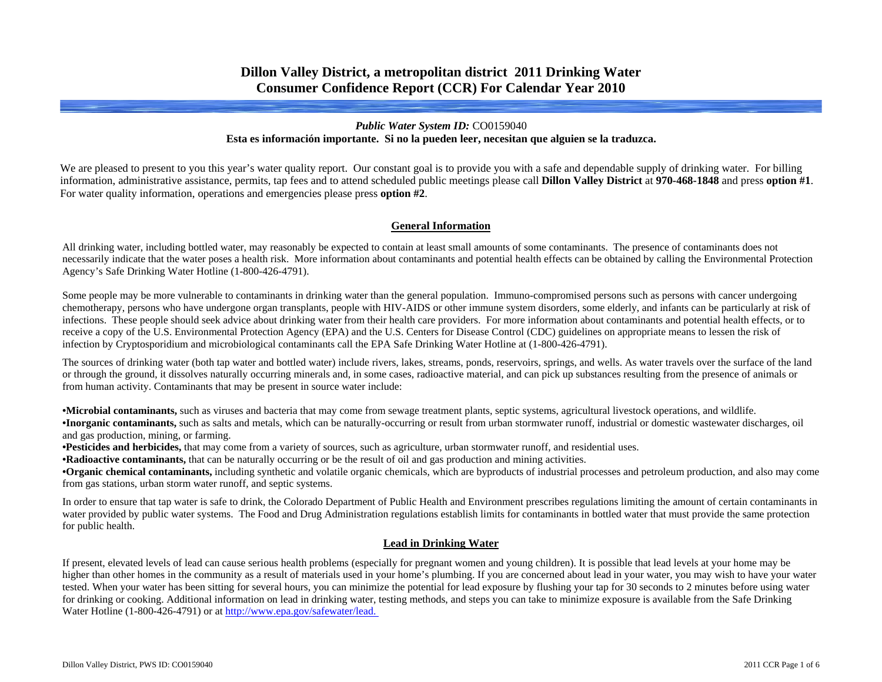# **Dillon Valley District, a metropolitan district 2011 Drinking Water Consumer Confidence Report (CCR) For Calendar Year 2010**

### *Public Water System ID:* CO0159040 **Esta es información importante. Si no la pueden leer, necesitan que alguien se la traduzca.**

We are pleased to present to you this year's water quality report. Our constant goal is to provide you with a safe and dependable supply of drinking water. For billing information, administrative assistance, permits, tap fees and to attend scheduled public meetings please call **Dillon Valley District** at **970-468-1848** and press **option #1**. For water quality information, operations and emergencies please press **option #2**.

### **General Information**

All drinking water, including bottled water, may reasonably be expected to contain at least small amounts of some contaminants. The presence of contaminants does not necessarily indicate that the water poses a health risk. More information about contaminants and potential health effects can be obtained by calling the Environmental Protection Agency's Safe Drinking Water Hotline (1-800-426-4791).

Some people may be more vulnerable to contaminants in drinking water than the general population. Immuno-compromised persons such as persons with cancer undergoing chemotherapy, persons who have undergone organ transplants, people with HIV-AIDS or other immune system disorders, some elderly, and infants can be particularly at risk of infections. These people should seek advice about drinking water from their health care providers. For more information about contaminants and potential health effects, or to receive a copy of the U.S. Environmental Protection Agency (EPA) and the U.S. Centers for Disease Control (CDC) guidelines on appropriate means to lessen the risk of infection by Cryptosporidium and microbiological contaminants call the EPA Safe Drinking Water Hotline at (1-800-426-4791).

The sources of drinking water (both tap water and bottled water) include rivers, lakes, streams, ponds, reservoirs, springs, and wells. As water travels over the surface of the land or through the ground, it dissolves naturally occurring minerals and, in some cases, radioactive material, and can pick up substances resulting from the presence of animals or from human activity. Contaminants that may be present in source water include:

**•Microbial contaminants,** such as viruses and bacteria that may come from sewage treatment plants, septic systems, agricultural livestock operations, and wildlife. **•Inorganic contaminants,** such as salts and metals, which can be naturally-occurring or result from urban stormwater runoff, industrial or domestic wastewater discharges, oil and gas production, mining, or farming.

**•Pesticides and herbicides,** that may come from a variety of sources, such as agriculture, urban stormwater runoff, and residential uses.

**•Radioactive contaminants,** that can be naturally occurring or be the result of oil and gas production and mining activities.

**•Organic chemical contaminants,** including synthetic and volatile organic chemicals, which are byproducts of industrial processes and petroleum production, and also may come from gas stations, urban storm water runoff, and septic systems.

In order to ensure that tap water is safe to drink, the Colorado Department of Public Health and Environment prescribes regulations limiting the amount of certain contaminants in water provided by public water systems. The Food and Drug Administration regulations establish limits for contaminants in bottled water that must provide the same protection for public health.

## **Lead in Drinking Water**

If present, elevated levels of lead can cause serious health problems (especially for pregnant women and young children). It is possible that lead levels at your home may be higher than other homes in the community as a result of materials used in your home's plumbing. If you are concerned about lead in your water, you may wish to have your water tested. When your water has been sitting for several hours, you can minimize the potential for lead exposure by flushing your tap for 30 seconds to 2 minutes before using water for drinking or cooking. Additional information on lead in drinking water, testing methods, and steps you can take to minimize exposure is available from the Safe Drinking Water Hotline (1-800-426-4791) or at [http://www.epa.gov/safewater/lead.](http://www.epa.gov/safewater/lead)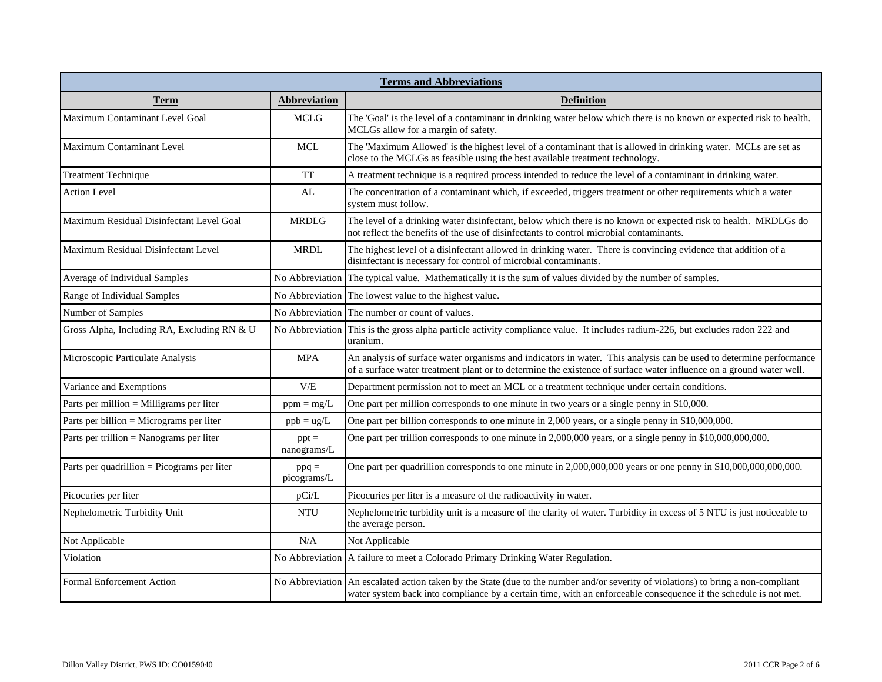| <b>Terms and Abbreviations</b>              |                        |                                                                                                                                                                                                                                           |  |  |  |  |  |  |  |  |  |
|---------------------------------------------|------------------------|-------------------------------------------------------------------------------------------------------------------------------------------------------------------------------------------------------------------------------------------|--|--|--|--|--|--|--|--|--|
| <u>Term</u>                                 | <b>Abbreviation</b>    | <b>Definition</b>                                                                                                                                                                                                                         |  |  |  |  |  |  |  |  |  |
| Maximum Contaminant Level Goal              | <b>MCLG</b>            | The 'Goal' is the level of a contaminant in drinking water below which there is no known or expected risk to health.<br>MCLGs allow for a margin of safety.                                                                               |  |  |  |  |  |  |  |  |  |
| <b>Maximum Contaminant Level</b>            | <b>MCL</b>             | The 'Maximum Allowed' is the highest level of a contaminant that is allowed in drinking water. MCLs are set as<br>close to the MCLGs as feasible using the best available treatment technology.                                           |  |  |  |  |  |  |  |  |  |
| <b>Treatment Technique</b>                  | <b>TT</b>              | A treatment technique is a required process intended to reduce the level of a contaminant in drinking water.                                                                                                                              |  |  |  |  |  |  |  |  |  |
| <b>Action Level</b>                         | AL                     | The concentration of a contaminant which, if exceeded, triggers treatment or other requirements which a water<br>system must follow.                                                                                                      |  |  |  |  |  |  |  |  |  |
| Maximum Residual Disinfectant Level Goal    | <b>MRDLG</b>           | The level of a drinking water disinfectant, below which there is no known or expected risk to health. MRDLGs do<br>not reflect the benefits of the use of disinfectants to control microbial contaminants.                                |  |  |  |  |  |  |  |  |  |
| Maximum Residual Disinfectant Level         | <b>MRDL</b>            | The highest level of a disinfectant allowed in drinking water. There is convincing evidence that addition of a<br>disinfectant is necessary for control of microbial contaminants.                                                        |  |  |  |  |  |  |  |  |  |
| Average of Individual Samples               | No Abbreviation        | The typical value. Mathematically it is the sum of values divided by the number of samples.                                                                                                                                               |  |  |  |  |  |  |  |  |  |
| Range of Individual Samples                 | No Abbreviation        | The lowest value to the highest value.                                                                                                                                                                                                    |  |  |  |  |  |  |  |  |  |
| Number of Samples                           | No Abbreviation        | The number or count of values.                                                                                                                                                                                                            |  |  |  |  |  |  |  |  |  |
| Gross Alpha, Including RA, Excluding RN & U | No Abbreviation        | This is the gross alpha particle activity compliance value. It includes radium-226, but excludes radon 222 and<br>uranium.                                                                                                                |  |  |  |  |  |  |  |  |  |
| Microscopic Particulate Analysis            | MPA                    | An analysis of surface water organisms and indicators in water. This analysis can be used to determine performance<br>of a surface water treatment plant or to determine the existence of surface water influence on a ground water well. |  |  |  |  |  |  |  |  |  |
| Variance and Exemptions                     | V/E                    | Department permission not to meet an MCL or a treatment technique under certain conditions.                                                                                                                                               |  |  |  |  |  |  |  |  |  |
| Parts per million = Milligrams per liter    | $ppm = mg/L$           | One part per million corresponds to one minute in two years or a single penny in \$10,000.                                                                                                                                                |  |  |  |  |  |  |  |  |  |
| Parts per billion = Micrograms per liter    | $ppb = ug/L$           | One part per billion corresponds to one minute in 2,000 years, or a single penny in \$10,000,000.                                                                                                                                         |  |  |  |  |  |  |  |  |  |
| Parts per trillion = Nanograms per liter    | $ppt =$<br>nanograms/L | One part per trillion corresponds to one minute in 2,000,000 years, or a single penny in \$10,000,000,000.                                                                                                                                |  |  |  |  |  |  |  |  |  |
| Parts per quadrillion = Picograms per liter | $ppq =$<br>picograms/L | One part per quadrillion corresponds to one minute in 2,000,000,000 years or one penny in \$10,000,000,000,000.                                                                                                                           |  |  |  |  |  |  |  |  |  |
| Picocuries per liter                        | pCi/L                  | Picocuries per liter is a measure of the radioactivity in water.                                                                                                                                                                          |  |  |  |  |  |  |  |  |  |
| Nephelometric Turbidity Unit                | <b>NTU</b>             | Nephelometric turbidity unit is a measure of the clarity of water. Turbidity in excess of 5 NTU is just noticeable to<br>the average person.                                                                                              |  |  |  |  |  |  |  |  |  |
| Not Applicable                              | N/A                    | Not Applicable                                                                                                                                                                                                                            |  |  |  |  |  |  |  |  |  |
| Violation                                   |                        | No Abbreviation   A failure to meet a Colorado Primary Drinking Water Regulation.                                                                                                                                                         |  |  |  |  |  |  |  |  |  |
| <b>Formal Enforcement Action</b>            | No Abbreviation        | An escalated action taken by the State (due to the number and/or severity of violations) to bring a non-compliant<br>water system back into compliance by a certain time, with an enforceable consequence if the schedule is not met.     |  |  |  |  |  |  |  |  |  |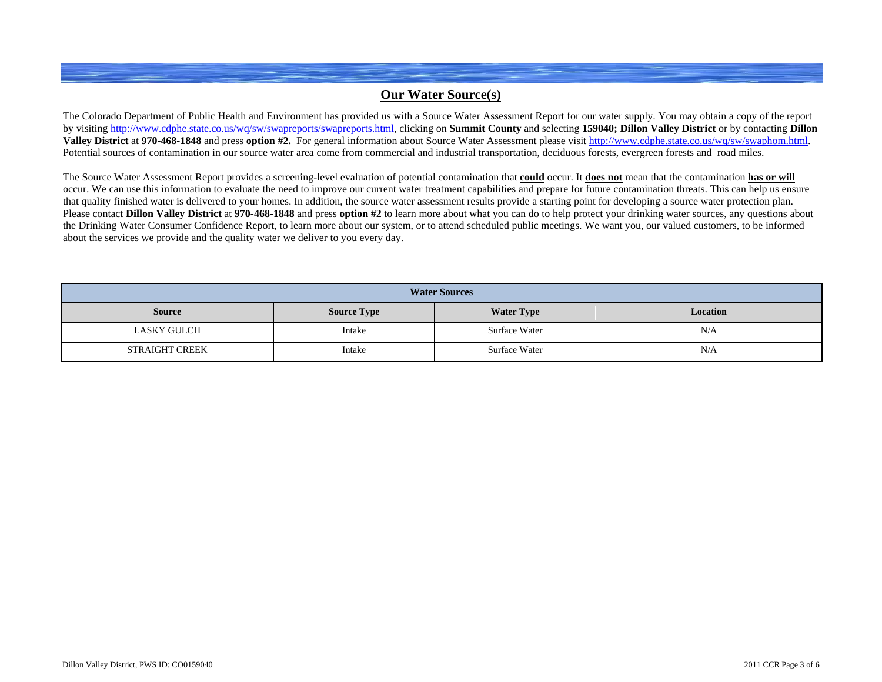## **Our Water Source(s)**

The Colorado Department of Public Health and Environment has provided us with a Source Water Assessment Report for our water supply. You may obtain a copy of the report by visiting<http://www.cdphe.state.co.us/wq/sw/swapreports/swapreports.html>, clicking on **Summit County** and selecting **159040; Dillon Valley District** or by contacting **Dillon Valley District** at **970-468-1848** and press **option #2.** For general information about Source Water Assessment please visit <http://www.cdphe.state.co.us/wq/sw/swaphom.html>. Potential sources of contamination in our source water area come from commercial and industrial transportation, deciduous forests, evergreen forests and road miles.

The Source Water Assessment Report provides a screening-level evaluation of potential contamination that **could** occur. It **does not** mean that the contamination **has or will** occur. We can use this information to evaluate the need to improve our current water treatment capabilities and prepare for future contamination threats. This can help us ensure that quality finished water is delivered to your homes. In addition, the source water assessment results provide a starting point for developing a source water protection plan. Please contact **Dillon Valley District** at 970-468-1848 and press option #2 to learn more about what you can do to help protect your drinking water sources, any questions about the Drinking Water Consumer Confidence Report, to learn more about our system, or to attend scheduled public meetings. We want you, our valued customers, to be informed about the services we provide and the quality water we deliver to you every day.

| <b>Water Sources</b> |                    |                   |          |  |  |  |  |  |  |  |  |
|----------------------|--------------------|-------------------|----------|--|--|--|--|--|--|--|--|
| <b>Source</b>        | <b>Source Type</b> | <b>Water Type</b> | Location |  |  |  |  |  |  |  |  |
| LASKY GULCH          | Intake             | Surface Water     | N/A      |  |  |  |  |  |  |  |  |
| STRAIGHT CREEK       | Intake             | Surface Water     | N/A      |  |  |  |  |  |  |  |  |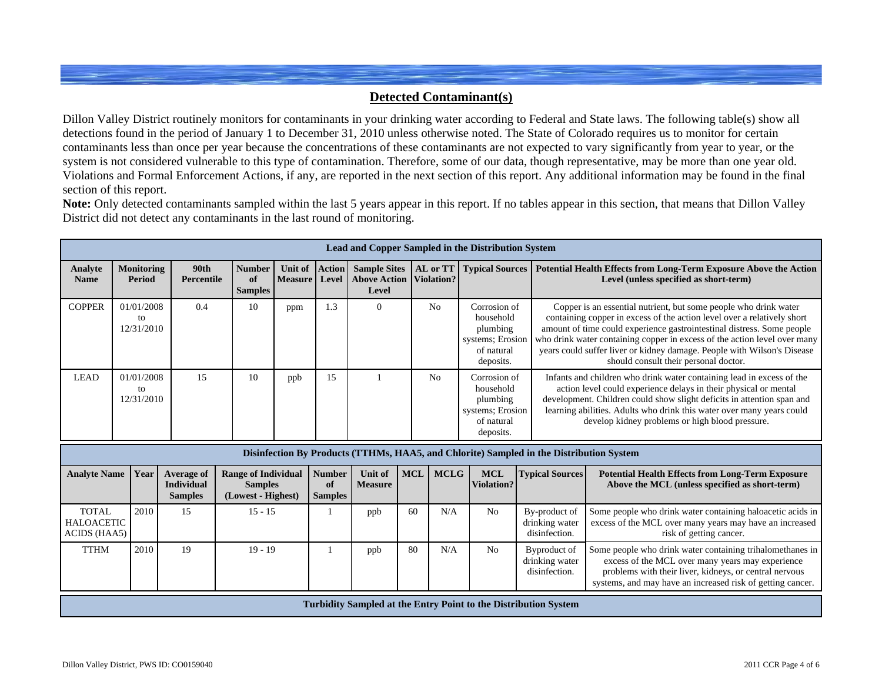## **Detected Contaminant(s)**

Dillon Valley District routinely monitors for contaminants in your drinking water according to Federal and State laws. The following table(s) show all detections found in the period of January 1 to December 31, 2010 unless otherwise noted. The State of Colorado requires us to monitor for certain contaminants less than once per year because the concentrations of these contaminants are not expected to vary significantly from year to year, or the system is not considered vulnerable to this type of contamination. Therefore, some of our data, though representative, may be more than one year old. Violations and Formal Enforcement Actions, if any, are reported in the next section of this report. Any additional information may be found in the final section of this report.

**Note:** Only detected contaminants sampled within the last 5 years appear in this report. If no tables appear in this section, that means that Dillon Valley District did not detect any contaminants in the last round of monitoring.

|                                                   | <b>Lead and Copper Sampled in the Distribution System</b>                                                                                    |                                                           |       |                                                                    |                               |           |                                       |                                  |                                                                                                             |             |                                 |                                                                                         |                                                                                                           |                                                                                                                                                                                                                                                                                                                                                                                                                        |  |
|---------------------------------------------------|----------------------------------------------------------------------------------------------------------------------------------------------|-----------------------------------------------------------|-------|--------------------------------------------------------------------|-------------------------------|-----------|---------------------------------------|----------------------------------|-------------------------------------------------------------------------------------------------------------|-------------|---------------------------------|-----------------------------------------------------------------------------------------|-----------------------------------------------------------------------------------------------------------|------------------------------------------------------------------------------------------------------------------------------------------------------------------------------------------------------------------------------------------------------------------------------------------------------------------------------------------------------------------------------------------------------------------------|--|
| Analyte<br><b>Name</b>                            | <b>90th</b><br><b>Monitoring</b><br><b>Number</b><br>Unit of Action<br>of<br><b>Period</b><br>Percentile<br><b>Measure</b><br><b>Samples</b> |                                                           | Level | <b>Sample Sites</b><br><b>Above Action</b><br>Level                | AL or TT<br><b>Violation?</b> |           | <b>Typical Sources</b>                |                                  | Potential Health Effects from Long-Term Exposure Above the Action<br>Level (unless specified as short-term) |             |                                 |                                                                                         |                                                                                                           |                                                                                                                                                                                                                                                                                                                                                                                                                        |  |
| <b>COPPER</b>                                     |                                                                                                                                              | 01/01/2008<br>to<br>12/31/2010                            |       | 0.4                                                                |                               | 10        | ppm                                   | 1.3                              | $\theta$                                                                                                    |             | N <sub>0</sub>                  | Corrosion of<br>household<br>plumbing<br>systems; Erosion<br>of natural<br>deposits.    |                                                                                                           | Copper is an essential nutrient, but some people who drink water<br>containing copper in excess of the action level over a relatively short<br>amount of time could experience gastrointestinal distress. Some people<br>who drink water containing copper in excess of the action level over many<br>years could suffer liver or kidney damage. People with Wilson's Disease<br>should consult their personal doctor. |  |
| <b>LEAD</b>                                       |                                                                                                                                              | 01/01/2008<br>to<br>12/31/2010                            |       | 15                                                                 |                               | 10        | ppb                                   | 15                               |                                                                                                             |             | No                              | Corrosion of<br>household<br>plumbing<br>systems; Erosion<br>of natural<br>deposits.    |                                                                                                           | Infants and children who drink water containing lead in excess of the<br>action level could experience delays in their physical or mental<br>development. Children could show slight deficits in attention span and<br>learning abilities. Adults who drink this water over many years could<br>develop kidney problems or high blood pressure.                                                                        |  |
|                                                   |                                                                                                                                              |                                                           |       |                                                                    |                               |           |                                       |                                  |                                                                                                             |             |                                 | Disinfection By Products (TTHMs, HAA5, and Chlorite) Sampled in the Distribution System |                                                                                                           |                                                                                                                                                                                                                                                                                                                                                                                                                        |  |
| <b>Analyte Name</b>                               |                                                                                                                                              | Year<br>Average of<br><b>Individual</b><br><b>Samples</b> |       | <b>Range of Individual</b><br><b>Samples</b><br>(Lowest - Highest) |                               |           | <b>Number</b><br>of<br><b>Samples</b> | <b>Unit of</b><br><b>Measure</b> | <b>MCL</b>                                                                                                  | <b>MCLG</b> | <b>MCL</b><br><b>Violation?</b> | <b>Typical Sources</b>                                                                  | <b>Potential Health Effects from Long-Term Exposure</b><br>Above the MCL (unless specified as short-term) |                                                                                                                                                                                                                                                                                                                                                                                                                        |  |
| <b>TOTAL</b><br><b>HALOACETIC</b><br>ACIDS (HAA5) |                                                                                                                                              | 2010                                                      |       | 15                                                                 |                               | $15 - 15$ |                                       |                                  | ppb                                                                                                         | 60          | N/A                             | No                                                                                      | By-product of<br>drinking water<br>disinfection.                                                          | Some people who drink water containing haloacetic acids in<br>excess of the MCL over many years may have an increased<br>risk of getting cancer.                                                                                                                                                                                                                                                                       |  |
| <b>TTHM</b>                                       |                                                                                                                                              | 2010                                                      |       | 19                                                                 |                               | $19 - 19$ |                                       |                                  | ppb                                                                                                         | 80          | N/A                             | No                                                                                      | Byproduct of<br>drinking water<br>disinfection.                                                           | Some people who drink water containing trihalomethanes in<br>excess of the MCL over many years may experience<br>problems with their liver, kidneys, or central nervous<br>systems, and may have an increased risk of getting cancer.                                                                                                                                                                                  |  |
|                                                   |                                                                                                                                              |                                                           |       |                                                                    |                               |           |                                       |                                  |                                                                                                             |             |                                 | Turbidity Sampled at the Entry Point to the Distribution System                         |                                                                                                           |                                                                                                                                                                                                                                                                                                                                                                                                                        |  |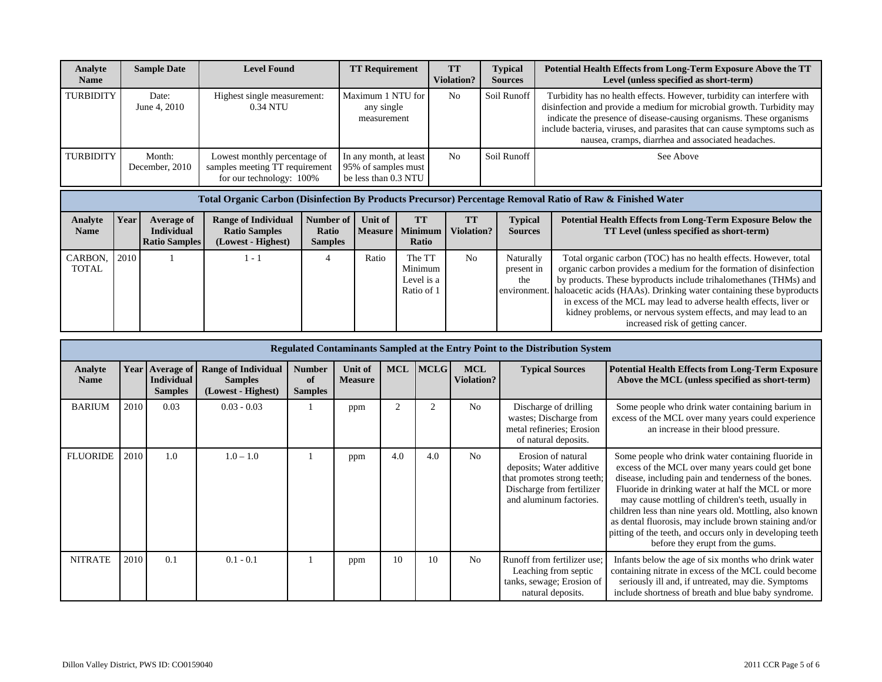| Analyte<br><b>Name</b> | <b>Sample Date</b>       | <b>Level Found</b>                                                                         | <b>TT Requirement</b>                                                 | <b>TT</b><br><b>Violation?</b> | <b>Typical</b><br><b>Sources</b> | Potential Health Effects from Long-Term Exposure Above the TT<br>Level (unless specified as short-term)                                                                                                                                                                                                                                                  |
|------------------------|--------------------------|--------------------------------------------------------------------------------------------|-----------------------------------------------------------------------|--------------------------------|----------------------------------|----------------------------------------------------------------------------------------------------------------------------------------------------------------------------------------------------------------------------------------------------------------------------------------------------------------------------------------------------------|
| <b>TURBIDITY</b>       | Date:<br>June 4, 2010    | Highest single measurement:<br>0.34 NTU                                                    | Maximum 1 NTU for<br>any single<br>measurement                        | N <sub>0</sub>                 | Soil Runoff                      | Turbidity has no health effects. However, turbidity can interfere with<br>disinfection and provide a medium for microbial growth. Turbidity may<br>indicate the presence of disease-causing organisms. These organisms<br>include bacteria, viruses, and parasites that can cause symptoms such as<br>nausea, cramps, diarrhea and associated headaches. |
| <b>TURBIDITY</b>       | Month:<br>December, 2010 | Lowest monthly percentage of<br>samples meeting TT requirement<br>for our technology: 100% | In any month, at least<br>95% of samples must<br>be less than 0.3 NTU | N <sub>0</sub>                 | Soil Runoff                      | See Above                                                                                                                                                                                                                                                                                                                                                |

|                        | Total Organic Carbon (Disinfection By Products Precursor) Percentage Removal Ratio of Raw & Finished Water |                                                         |                                                                          |                                      |         |                                               |                         |                                  |                                                                                                                                                                                                                                                                                                                                                                                                                                                                            |  |  |  |  |  |
|------------------------|------------------------------------------------------------------------------------------------------------|---------------------------------------------------------|--------------------------------------------------------------------------|--------------------------------------|---------|-----------------------------------------------|-------------------------|----------------------------------|----------------------------------------------------------------------------------------------------------------------------------------------------------------------------------------------------------------------------------------------------------------------------------------------------------------------------------------------------------------------------------------------------------------------------------------------------------------------------|--|--|--|--|--|
| Analyte<br><b>Name</b> | Year                                                                                                       | Average of<br><b>Individual</b><br><b>Ratio Samples</b> | <b>Range of Individual</b><br><b>Ratio Samples</b><br>(Lowest - Highest) | Number of<br>Ratio<br><b>Samples</b> | Unit of | <b>TT</b><br>  Measure   Minimum  <br>Ratio   | <b>TT</b><br>Violation? | <b>Typical</b><br><b>Sources</b> | Potential Health Effects from Long-Term Exposure Below the<br>TT Level (unless specified as short-term)                                                                                                                                                                                                                                                                                                                                                                    |  |  |  |  |  |
| CARBON,<br>TOTAL       | 2010                                                                                                       |                                                         | l - 1                                                                    |                                      | Ratio   | The TT<br>Minimum<br>Level is a<br>Ratio of 1 | N <sub>0</sub>          | Naturally<br>present in<br>the   | Total organic carbon (TOC) has no health effects. However, total<br>organic carbon provides a medium for the formation of disinfection<br>by products. These byproducts include trihalomethanes (THMs) and<br>environment. haloacetic acids (HAAs). Drinking water containing these byproducts<br>in excess of the MCL may lead to adverse health effects, liver or<br>kidney problems, or nervous system effects, and may lead to an<br>increased risk of getting cancer. |  |  |  |  |  |

|                               | <b>Regulated Contaminants Sampled at the Entry Point to the Distribution System</b> |                                                          |                                                                    |                                        |                           |                |                |                                 |                                                                                                                                       |                                                                                                                                                                                                                                                                                                                                                                                                                                                                                                  |  |  |  |  |
|-------------------------------|-------------------------------------------------------------------------------------|----------------------------------------------------------|--------------------------------------------------------------------|----------------------------------------|---------------------------|----------------|----------------|---------------------------------|---------------------------------------------------------------------------------------------------------------------------------------|--------------------------------------------------------------------------------------------------------------------------------------------------------------------------------------------------------------------------------------------------------------------------------------------------------------------------------------------------------------------------------------------------------------------------------------------------------------------------------------------------|--|--|--|--|
| <b>Analyte</b><br><b>Name</b> | <b>Year</b>                                                                         | <b>Average of</b><br><b>Individual</b><br><b>Samples</b> | <b>Range of Individual</b><br><b>Samples</b><br>(Lowest - Highest) | <b>Number</b><br>-of<br><b>Samples</b> | Unit of<br><b>Measure</b> | <b>MCL</b>     | <b>IMCLG</b>   | <b>MCL</b><br><b>Violation?</b> | <b>Typical Sources</b>                                                                                                                | <b>Potential Health Effects from Long-Term Exposure</b><br>Above the MCL (unless specified as short-term)                                                                                                                                                                                                                                                                                                                                                                                        |  |  |  |  |
| <b>BARIUM</b>                 | 2010                                                                                | 0.03                                                     | $0.03 - 0.03$                                                      |                                        | ppm                       | $\overline{c}$ | $\overline{2}$ | N <sub>0</sub>                  | Discharge of drilling<br>wastes; Discharge from<br>metal refineries; Erosion<br>of natural deposits.                                  | Some people who drink water containing barium in<br>excess of the MCL over many years could experience<br>an increase in their blood pressure.                                                                                                                                                                                                                                                                                                                                                   |  |  |  |  |
| <b>FLUORIDE</b>               | 2010                                                                                | 1.0                                                      | $1.0 - 1.0$                                                        |                                        | ppm                       | 4.0            | 4.0            | N <sub>0</sub>                  | Erosion of natural<br>deposits; Water additive<br>that promotes strong teeth;<br>Discharge from fertilizer<br>and aluminum factories. | Some people who drink water containing fluoride in<br>excess of the MCL over many years could get bone<br>disease, including pain and tenderness of the bones.<br>Fluoride in drinking water at half the MCL or more<br>may cause mottling of children's teeth, usually in<br>children less than nine years old. Mottling, also known<br>as dental fluorosis, may include brown staining and/or<br>pitting of the teeth, and occurs only in developing teeth<br>before they erupt from the gums. |  |  |  |  |
| <b>NITRATE</b>                | 2010                                                                                | 0.1                                                      | $0.1 - 0.1$                                                        |                                        | ppm                       | 10             | 10             | N <sub>0</sub>                  | Runoff from fertilizer use:<br>Leaching from septic<br>tanks, sewage; Erosion of<br>natural deposits.                                 | Infants below the age of six months who drink water<br>containing nitrate in excess of the MCL could become<br>seriously ill and, if untreated, may die. Symptoms<br>include shortness of breath and blue baby syndrome.                                                                                                                                                                                                                                                                         |  |  |  |  |